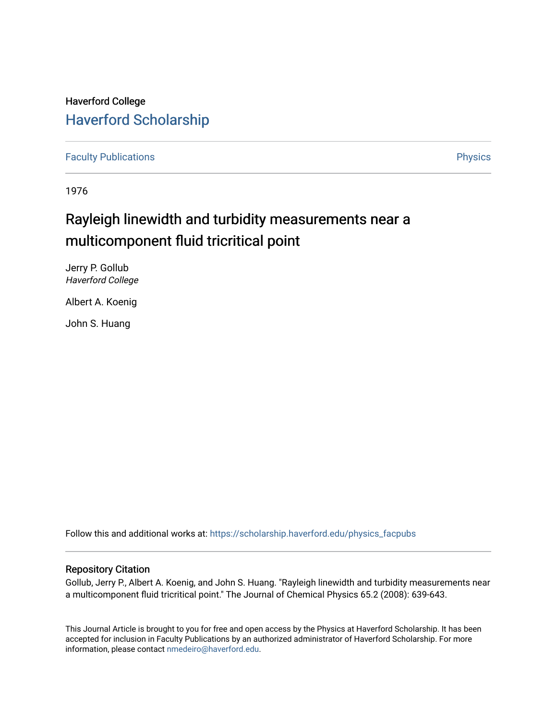# Haverford College [Haverford Scholarship](https://scholarship.haverford.edu/)

[Faculty Publications](https://scholarship.haverford.edu/physics_facpubs) **Physics** 

1976

# Rayleigh linewidth and turbidity measurements near a multicomponent fluid tricritical point

Jerry P. Gollub Haverford College

Albert A. Koenig

John S. Huang

Follow this and additional works at: [https://scholarship.haverford.edu/physics\\_facpubs](https://scholarship.haverford.edu/physics_facpubs?utm_source=scholarship.haverford.edu%2Fphysics_facpubs%2F251&utm_medium=PDF&utm_campaign=PDFCoverPages) 

### Repository Citation

Gollub, Jerry P., Albert A. Koenig, and John S. Huang. "Rayleigh linewidth and turbidity measurements near a multicomponent fluid tricritical point." The Journal of Chemical Physics 65.2 (2008): 639-643.

This Journal Article is brought to you for free and open access by the Physics at Haverford Scholarship. It has been accepted for inclusion in Faculty Publications by an authorized administrator of Haverford Scholarship. For more information, please contact [nmedeiro@haverford.edu.](mailto:nmedeiro@haverford.edu)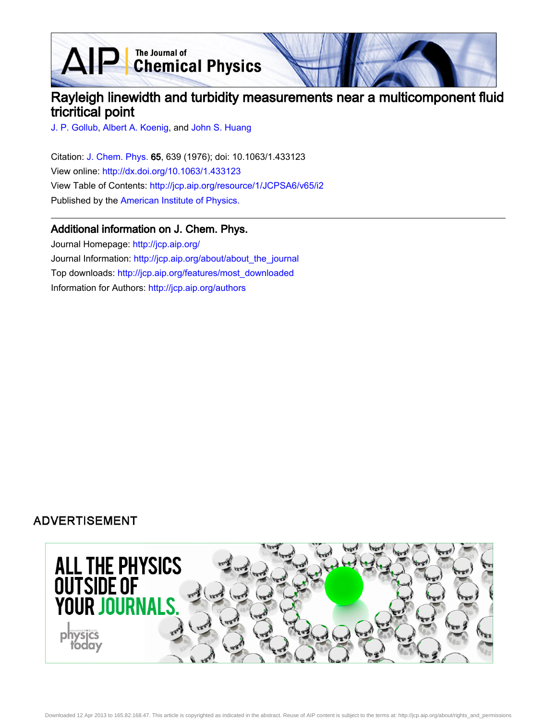AIP Chemical Physics

# Rayleigh linewidth and turbidity measurements near a multicomponent fluid tricritical point

[J. P. Gollub,](http://jcp.aip.org/search?sortby=newestdate&q=&searchzone=2&searchtype=searchin&faceted=faceted&key=AIP_ALL&possible1=J. P. Gollub&possible1zone=author&alias=&displayid=AIP&ver=pdfcov) [Albert A. Koenig](http://jcp.aip.org/search?sortby=newestdate&q=&searchzone=2&searchtype=searchin&faceted=faceted&key=AIP_ALL&possible1=Albert A. Koenig&possible1zone=author&alias=&displayid=AIP&ver=pdfcov), and [John S. Huang](http://jcp.aip.org/search?sortby=newestdate&q=&searchzone=2&searchtype=searchin&faceted=faceted&key=AIP_ALL&possible1=John S. Huang&possible1zone=author&alias=&displayid=AIP&ver=pdfcov)

Citation: [J. Chem. Phys. 6](http://jcp.aip.org/?ver=pdfcov)5, 639 (1976); doi: 10.1063/1.433123 View online: [http://dx.doi.org/10.1063/1.433123](http://link.aip.org/link/doi/10.1063/1.433123?ver=pdfcov) View Table of Contents: [http://jcp.aip.org/resource/1/JCPSA6/v65/i2](http://jcp.aip.org/resource/1/JCPSA6/v65/i2?ver=pdfcov) Published by the [American Institute of Physics.](http://www.aip.org/?ver=pdfcov)

### Additional information on J. Chem. Phys.

Journal Homepage: [http://jcp.aip.org/](http://jcp.aip.org/?ver=pdfcov) Journal Information: [http://jcp.aip.org/about/about\\_the\\_journal](http://jcp.aip.org/about/about_the_journal?ver=pdfcov) Top downloads: [http://jcp.aip.org/features/most\\_downloaded](http://jcp.aip.org/features/most_downloaded?ver=pdfcov) Information for Authors: [http://jcp.aip.org/authors](http://jcp.aip.org/authors?ver=pdfcov)

### **ADVERTISEMENT**

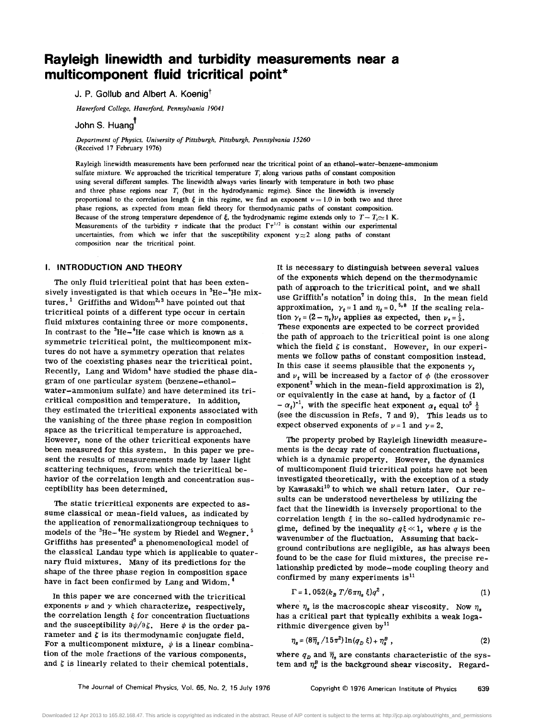## **Rayleigh linewidth and turbidity measurements near a multicomponent fluid tricritical point\***

### J. P. Gollub and Albert A. Koenig<sup>†</sup>

*Haverford College. Haverford. Pennsylvania 19041* 

John S. Huang

*Department of Physics. University of Pittsburgh. Pittsburgh. Pennsylvania 15260*  (Received 17 February 1976)

Rayleigh linewidth measurements have been performed near the tricritical point of an ethanol-water-benzene--ammonium sulfate mixture. We approached the tricritical temperature  $T<sub>i</sub>$  along various paths of constant composition using several different samples. The linewidth always varies linearly with temperature in both two phase and three phase regions near  $T<sub>t</sub>$  (but in the hydrodynamic regime). Since the linewidth is inversely proportional to the correlation length  $\xi$  in this regime, we find an exponent  $\nu = 1.0$  in both two and three phase regions, as expected from mean field theory for thermodynamic paths of constant composition. Because of the strong temperature dependence of  $\xi$ , the hydrodynamic regime extends only to  $T - T_i \approx 1$  K. Measurements of the turbidity  $\tau$  indicate that the product  $\Gamma \tau^{1/2}$  is constant within our experimental uncertainties, from which we infer that the susceptibility exponent  $\gamma \approx 2$  along paths of constant composition near the tricritical point.

#### **I. INTRODUCTION AND THEORY**

The only fluid tricritical point that has been extensively investigated is that which occurs in  ${}^{3}$ He $-{}^{4}$ He mixtures.<sup>1</sup> Griffiths and Widom<sup>2,3</sup> have pointed out that tricritical points of a different type occur in certain fluid mixtures containing three or more components. In contrast to the  ${}^{3}$ He- ${}^{4}$ He case which is known as a symmetric tricritical point, the multicomponent mixtures do not have a symmetry operation that relates two of the coexisting phases near the tricritical point. Recently, Lang and Widom<sup>4</sup> have studied the phase diagram of one particular system (benzene-ethanolwater-ammonium sulfate) and have determined its tricritical composition and temperature. In addition, they estimated the tricritical exponents associated with the vanishing of the three phase region in composition space as the tricritical temperature is approached. However, none of the other tricritical exponents have been measured for this system. In this paper we present the results of measurements made by laser light scattering techniques, from which the tricritical behavior of the correlation length and concentration susceptibility has been determined.

The static tricritical exponents are expected to assume classical or mean-field values, as indicated by the application of renormalizationgroup techniques to models of the <sup>3</sup>He-<sup>4</sup>He system by Riedel and Wegner.<sup>5</sup> Griffiths has presented<sup>6</sup> a phenomenological model of the classical Landau type which is applicable to quaternary fluid mixtures. Many of its predictions for the shape of the three phase region in composition space have in fact been confirmed by Lang and Widom. 4

In this paper we are concerned with the tricritical exponents  $\nu$  and  $\gamma$  which characterize, respectively, the correlation length  $\xi$  for concentration fluctuations and the susceptibility  $\partial \psi / \partial \zeta$ . Here  $\psi$  is the order parameter and  $\xi$  is its thermodynamic conjugate field. For a multicomponent mixture,  $\psi$  is a linear combination of the mole fractions of the various components, and  $\xi$  is linearly related to their chemical potentials.

It is necessary to distinguish between several values of the exponents which depend on the thermodynamic path of approach to the tricritical point, and we shall use Griffith's notation<sup>7</sup> in doing this. In the mean field approximation,  $\gamma_t = 1$  and  $\eta_t = 0$ . <sup>5,8</sup> If the scaling relation  $\gamma_t = (2 - \eta_t)\nu_t$  applies as expected, then  $\nu_t = \frac{1}{2}$ . These exponents are expected to be correct provided the path of approach to the tricritical point is one along which the field  $\zeta$  is constant. However, in our experiments we follow paths of constant composition instead. In this case it seems plausible that the exponents  $\gamma_t$ and  $v_t$  will be increased by a factor of  $\phi$  (the crossover exponent<sup>7</sup> which in the mean-field approximation is 2), or equivalently in the case at hand, by a factor of (1  $-\alpha_t$ <sup>-1</sup>, with the specific heat exponent  $\alpha_t$  equal to<sup>5</sup>  $\frac{1}{2}$ (see the discussion in Refs. 7 and 9). This leads us to expect observed exponents of  $\nu = 1$  and  $\gamma = 2$ .

The property probed by Rayleigh linewidth measurements is the decay rate of concentration fluctuations, which is a dynamic property. However, the dynamics of multicomponent fluid tricritical points have not been investigated theoretically, with the exception of a study by Kawasaki<sup>10</sup> to which we shall return later. Our results can be understood nevertheless by utilizing the fact that the linewidth is inversely proportional to the correlation length  $\xi$  in the so-called hydrodynamic regime, defined by the inequality  $q\xi \ll 1$ , where q is the wavenumber of the fluctuation. Assuming that background contributions are negligible, as has always been found to be the case for fluid mixtures, the precise relationship predicted by mode-mode coupling theory and confirmed by many experiments is<sup>11</sup>

$$
\Gamma = 1.052(k_B T/6\pi\eta_s \xi)q^2 , \qquad (1)
$$

where  $\eta_s$  is the macroscopic shear viscosity. Now  $\eta_s$ has a critical part that typically exhibits a weak logarithmic divergence given by<sup>11</sup>

$$
\eta_s = (8\overline{\eta}_s \, / 15\pi^2) \ln(q_D \, \xi) + \eta_s^B \,, \tag{2}
$$

where  $q_D$  and  $\bar{\eta}_s$  are constants characteristic of the system and  $\eta_s^B$  is the background shear viscosity. Regard-

Downloaded 12 Apr 2013 to 165.82.168.47. This article is copyrighted as indicated in the abstract. Reuse of AIP content is subject to the terms at: http://jcp.aip.org/about/rights\_and\_permissions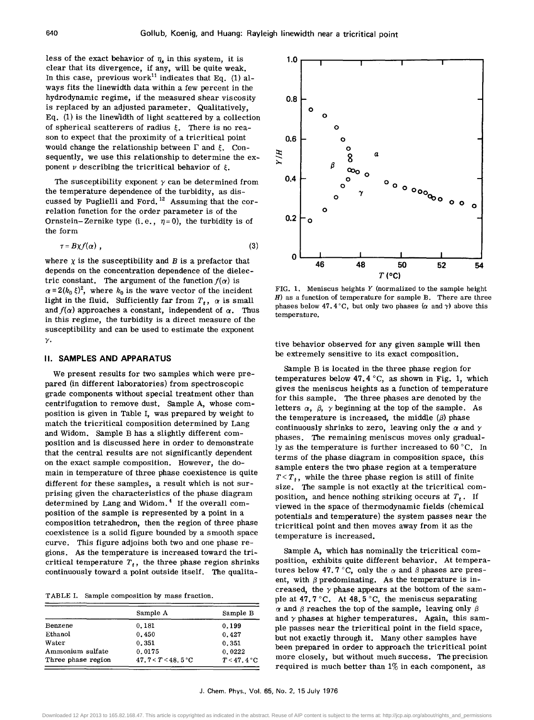less of the exact behavior of  $\eta_s$  in this system, it is clear that its divergence, if any, will be quite weak. In this case, previous work<sup>11</sup> indicates that Eq. (1) always fits the linewidth data within a few percent in the hydrodynamic regime, if the measured shear viscosity is replaced by an adjusted parameter. Qualitatively, Eq. (1) is the linewidth of light scattered by a collection of spherical scatterers of radius  $\xi$ . There is no reason to expect that the proximity of a tricritical point would change the relationship between  $\Gamma$  and  $\xi$ . Consequently, we use this relationship to determine the exponent  $\nu$  describing the tricritical behavior of  $\xi$ .

The susceptibility exponent  $\gamma$  can be determined from the temperature dependence of the turbidity, as discussed by Puglielli and Ford. 12 Assuming that the correlation function for the order parameter is of the Ornstein-Zernike type (i.e.,  $\eta = 0$ ), the turbidity is of the form

$$
\tau = B\chi f(\alpha) \tag{3}
$$

where  $\chi$  is the susceptibility and  $B$  is a prefactor that depends on the concentration dependence of the dielectric constant. The argument of the function  $f(\alpha)$  is  $\alpha = 2(k_0 \xi)^2$ , where  $k_0$  is the wave vector of the incident light in the fluid. Sufficiently far from  $T_t$ ,  $\alpha$  is small and  $f(\alpha)$  approaches a constant, independent of  $\alpha$ . Thus in this regime, the turbidity is a direct measure of the susceptibility and can be used to estimate the exponent *y.* 

#### II. **SAMPLES AND APPARATUS**

We present results for two samples which were prepared (in different laboratories) from spectroscopic grade components without special treatment other than centrifugation to remove dust. Sample A, whose composition is given in Table I, was prepared by weight to match the tricritical composition determined by Lang and Widom. Sample B has a slightly different composition and is discussed here in order to demonstrate that the central results are not significantly dependent on the exact sample composition. However, the domain in temperature of three phase coexistence is quite different for these samples, a result which is not surprising given the characteristics of the phase diagram determined by Lang and Widom. 4 If the overall composition of the sample is represented by a point in a composition tetrahedron, then the region of three phase coexistence is a solid figure bounded by a smooth space curve. This figure adjoins both two and one phase regions. As the temperature is increased toward the tricritical temperature  $T_t$ , the three phase region shrinks continuously toward a point outside itself. The qualita-

TABLE 1. Sample composition by mass fraction.

|                    | Sample A            | Sample B      |
|--------------------|---------------------|---------------|
| Benzene            | 0.181               | 0.199         |
| Ethanol            | 0.450               | 0.427         |
| Water              | 0.351               | 0.351         |
| Ammonium sulfate   | 0.0175              | 0.0222        |
| Three phase region | 47.7< $T < 48.5$ °C | $T < 47.4$ °C |



FIG. 1. Meniscus heights *Y* (normalized to the sample height  $H$ ) as a function of temperature for sample B. There are three phases below 47.4 °C, but only two phases ( $\alpha$  and  $\gamma$ ) above this temperature.

tive behavior observed for any given sample will then be extremely sensitive to its exact composition.

Sample B is located in the three phase region for temperatures below 47.4  $\degree$ C, as shown in Fig. 1, which gives the meniscus heights as a function of temperature for this sample. The three phases are denoted by the letters  $\alpha$ ,  $\beta$ ,  $\gamma$  beginning at the top of the sample. As the temperature is increased, the middle  $(\beta)$  phase continuously shrinks to zero, leaving only the  $\alpha$  and  $\gamma$ phases. The remaining meniscus moves only gradually as the temperature is further increased to  $60^{\circ}$ C. In terms of the phase diagram in composition space, this sample enters the two phase region at a temperature  $T < T_t$ , while the three phase region is still of finite size. The sample is not exactly at the tricritical composition, and hence nothing striking occurs at  $T_t$ . If viewed in the space of thermodynamic fields (chemical potentials and temperature) the system passes near the tricritical point and then moves away from it as the temperature is increased.

Sample A, which has nominally the tricritical composition, exhibits quite different behavior. At temperatures below 47.7 °C, only the  $\alpha$  and  $\beta$  phases are present, with  $\beta$  predominating. As the temperature is increased, the  $\gamma$  phase appears at the bottom of the sample at 47.7 °C. At 48.5 °C, the meniscus separating  $\alpha$  and  $\beta$  reaches the top of the sample, leaving only  $\beta$ and  $\gamma$  phases at higher temperatures. Again, this sample passes near the tricritical point in the field space, but not exactly through it. Many other samples have been prepared in order to approach the tricritical point more closely, but without much success. The precision required is much better than  $1\%$  in each component, as

J. Chern. Phys., Vol. 65, No.2, 15 July 1976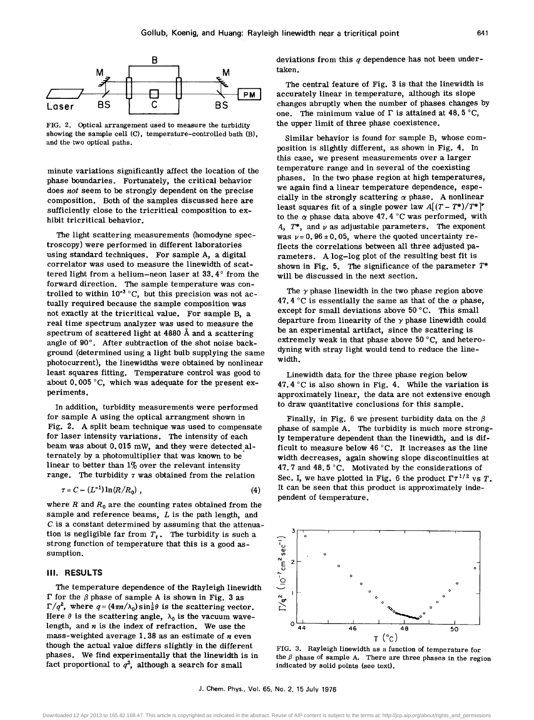

FIG. 2. Optical arrangement used to measure the turbidity showing the sample cell (C), temperature-controlled bath (B), and the two optical paths.

minute variations significantly affect the location of the phase boundaries. Fortunately, the critical behavior does *not* seem to be strongly dependent on the precise composition. Both of the samples discussed here are sufficiently close to the tricritical composition to exhibit tricritical behavior.

The light scattering measurements (homodyne spectroscopy) were performed in different laboratories using standard techniques. For sample A, a digital correlator was used to measure the linewidth of scattered light from a helium-neon laser at 33.4° from the forward direction. The sample temperature was controlled to within  $10^{-3}$  °C, but this precision was not actually required because the sample composition was not exactly at the tricritical value. For sample B, a real time spectrum analyzer was used to measure the spectrum of scattered light at 4880 A and a scattering angle of 90°. After subtraction of the shot noise background (determined using a light bulb supplying the same photo current), the linewidths were obtained by nonlinear least squares fitting. Temperature control was good to about 0.005 °C, which was adequate for the present experiments.

In addition, turbidity measurements were performed for sample A using the optical arrangment shown in Fig. 2. A split beam technique was used to compensate for laser intensity variations. The intensity of each beam was about  $0.015$  mW, and they were detected alternately by a photomultiplier that was known to be linear to better than  $1\%$  over the relevant intensity range. The turbidity  $\tau$  was obtained from the relation

$$
\tau = C - (L^{-1}) \ln(R/R_0) \tag{4}
$$

where  $R$  and  $R_0$  are the counting rates obtained from the sample and reference beams,  $L$  is the path length, and C is a constant determined by assuming that the attenuation is negligible far from  $T_t$ . The turbidity is such a strong function of temperature that this is a good assumption.

#### III. **RESULTS**

The temperature dependence of the Rayleigh linewidth  $\Gamma$  for the  $\beta$  phase of sample A is shown in Fig. 3 as  $\Gamma/q^2$ , where  $q = (4\pi n/\lambda_0) \sin^2 \theta$  is the scattering vector. Here  $\theta$  is the scattering angle,  $\lambda_0$  is the vacuum wavelength, and *n* is the index of refraction. We use the mass-weighted average 1.38 as an estimate of *n* even though the actual value differs slightly in the different phases. We find experimentally that the linewidth is in fact proportional to  $q^2$ , although a search for small

deviations from this  $q$  dependence has not been undertaken.

The central feature of Fig. 3 is that the linewidth is accurately linear in temperature, although its slope changes abruptly when the number of phases changes by one. The minimum value of  $\Gamma$  is attained at 48.5 °C, the upper limit of three phase coexistence.

Similar behavior is found for sample B, whose composition is slightly different, as shown in Fig. 4. In this case, we present measurements over a larger temperature range and in several of the coexisting phases. In the two phase region at high temperatures, we again find a linear temperature dependence, especially in the strongly scattering  $\alpha$  phase. A nonlinear least squares fit of a single power law  $A[(T-T^*)/T^*]^{\nu}$ to the  $\alpha$  phase data above 47.4 °C was performed, with  $A$ ,  $T^*$ , and  $\nu$  as adjustable parameters. The exponent was  $v = 0.96 \pm 0.05$ , where the quoted uncertainty reflects the correlations between all three adjusted parameters. A log-log plot of the resulting best fit is shown in Fig. 5. The significance of the parameter  $T^*$ will be discussed in the next section.

The *y* phase linewidth in the two phase region above 47.4 °C is essentially the same as that of the  $\alpha$  phase, except for small deviations above 50°C. This small departure from linearity of the *y* phase linewidth could be an experimental artifact, since the scattering is extremely weak in that phase above 50°C, and heterodyning with stray light would tend to reduce the linewidth.

Linewidth data for the three phase region below 47.4  $\degree$ C is also shown in Fig. 4. While the variation is approximately linear, the data are not extensive enough to draw quantitative conclusions for this sample.

Finally, in Fig. 6 we present turbidity data on the  $\beta$ phase of sample A. The turbidity is much more strongly temperature dependent than the linewidth, and is difficult to measure below 46°C. It increases as the line width decreases, again showing slope discontinuities at 47.7 and 48.5 °C. Motivated by the considerations of Sec. I, we have plotted in Fig. 6 the product  $\Gamma \tau^{1/2}$  vs T. It can be seen that this product is approximately independent of temperature.



FIG. 3. Rayleigh linewidth as a function of temperature for the  $\beta$  phase of sample A. There are three phases in the region indicated by solid points (see text).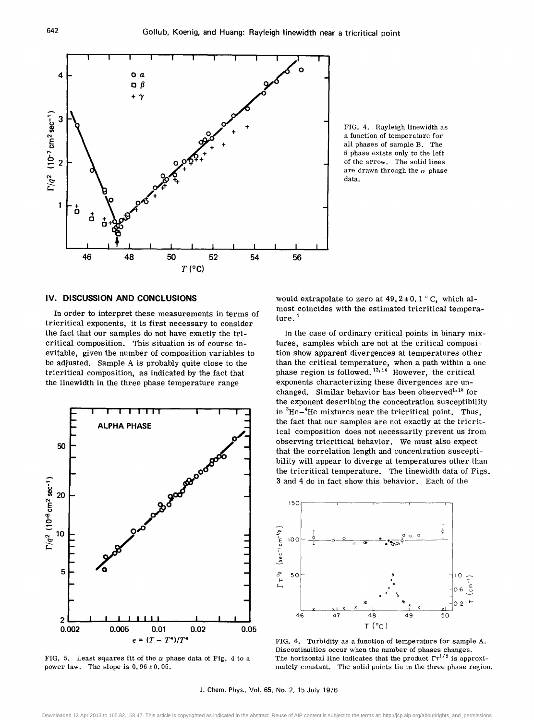

FIG. 4. Rayleigh linewidth as a function of temperature for all phases of sample B. The  $\beta$  phase exists only to the left of the arrow. The solid lines are drawn through the  $\alpha$  phase data.

#### IV. **DISCUSSION AND CONCLUSIONS**

In order to interpret these measurements in terms of tricritical exponents, it is first necessary to consider the fact that our samples do not have exactly the tricritical composition. This situation is of course inevitable, given the number of composition variables to be adjusted. Sample A is probably quite close to the tricritical composition, as indicated by the fact that the linewidth in the three phase temperature range



FIG. 5. Least squares fit of the  $\alpha$  phase data of Fig. 4 to a power law. The slope is  $0.96 \pm 0.05$ .

would extrapolate to zero at  $49.2 \pm 0.1$  °C, which almost coincides with the estimated tricritical temperature. <sup>4</sup>

In the case of ordinary critical points in binary mixtures, samples which are not at the critical composition show apparent divergences at temperatures other than the critical temperature, when a path within a one phase region is followed.  $13,14$  However, the critical exponents characterizing these divergences are unchanged. Similar behavior has been observed<sup>1,15</sup> for the exponent describing the concentration susceptibility in  ${}^{3}$ He $-{}^{4}$ He mixtures near the tricritical point, Thus, the fact that our samples are not exactly at the tricritical composition does not necessarily prevent us from observing tricritical behavior. We must also expect that the correlation length and concentration susceptibility will appear to diverge at temperatures other than the tricritical temperature. The linewidth data of Figs. 3 and 4 do in fact show this behavior. Each of the



FIG. 6. Turbidity as a function of temperature for sample A. Discontinuities occur when the number of phases changes. The horizontal line indicates that the product  $\Gamma \tau^{1/2}$  is approximately constant. The solid points lie in the three phase region.